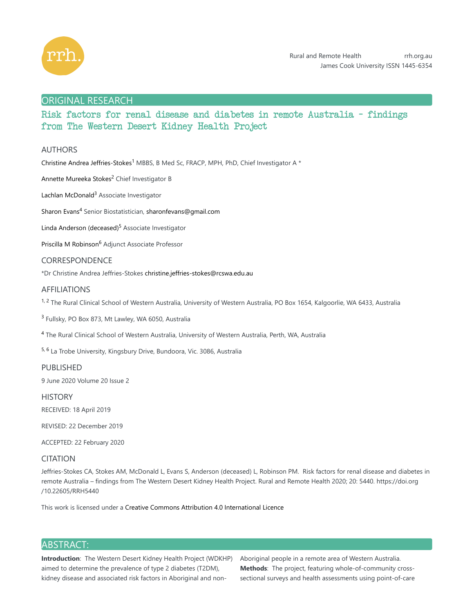

# ORIGINAL RESEARCH

Risk factors for renal disease and diabetes in remote Australia - findings from The Western Desert Kidney Health Project

# AUTHORS

Christine Andrea Jeffries-Stokes<sup>1</sup> MBBS, B Med Sc, FRACP, MPH, PhD, Chief Investigator A \*

Annette Mureeka Stokes<sup>2</sup> Chief Investigator B

Lachlan McDonald<sup>3</sup> Associate Investigator

Sharon Evans<sup>4</sup> Senior Biostatistician, sharonfevans@gmail.com

Linda Anderson (deceased)<sup>5</sup> Associate Investigator

Priscilla M Robinson<sup>6</sup> Adjunct Associate Professor

# CORRESPONDENCE

\*Dr Christine Andrea Jeffries-Stokes christine.jeffries-stokes@rcswa.edu.au

# AFFILIATIONS

<sup>1, 2</sup> The Rural Clinical School of Western Australia, University of Western Australia, PO Box 1654, Kalgoorlie, WA 6433, Australia

<sup>3</sup> Fullsky, PO Box 873, Mt Lawley, WA 6050, Australia

<sup>4</sup> The Rural Clinical School of Western Australia, University of Western Australia, Perth, WA, Australia

<sup>5, 6</sup> La Trobe University, Kingsbury Drive, Bundoora, Vic. 3086, Australia

# PUBLISHED

9 June 2020 Volume 20 Issue 2

**HISTORY** 

RECEIVED: 18 April 2019

REVISED: 22 December 2019

ACCEPTED: 22 February 2020

# CITATION

Jeffries-Stokes CA, Stokes AM, McDonald L, Evans S, Anderson (deceased) L, Robinson PM. Risk factors for renal disease and diabetes in remote Australia – findings from The Western Desert Kidney Health Project. Rural and Remote Health 2020; 20: 5440. https://doi.org /10.22605/RRH5440

This work is licensed under a Creative Commons Attribution 4.0 International Licence

# ABSTRACT:

**Introduction**: The Western Desert Kidney Health Project (WDKHP) aimed to determine the prevalence of type 2 diabetes (T2DM), kidney disease and associated risk factors in Aboriginal and nonAboriginal people in a remote area of Western Australia. **Methods**: The project, featuring whole-of-community crosssectional surveys and health assessments using point-of-care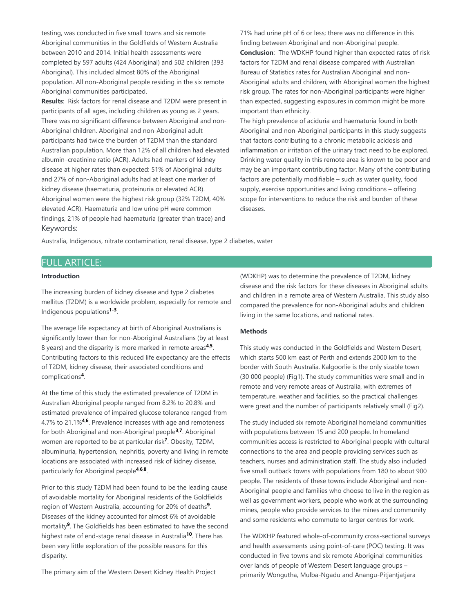testing, was conducted in five small towns and six remote Aboriginal communities in the Goldfields of Western Australia between 2010 and 2014. Initial health assessments were completed by 597 adults (424 Aboriginal) and 502 children (393 Aboriginal). This included almost 80% of the Aboriginal population. All non-Aboriginal people residing in the six remote Aboriginal communities participated.

**Results**: Risk factors for renal disease and T2DM were present in participants of all ages, including children as young as 2 years. There was no significant difference between Aboriginal and non-Aboriginal children. Aboriginal and non-Aboriginal adult participants had twice the burden of T2DM than the standard Australian population. More than 12% of all children had elevated albumin–creatinine ratio (ACR). Adults had markers of kidney disease at higher rates than expected: 51% of Aboriginal adults and 27% of non-Aboriginal adults had at least one marker of kidney disease (haematuria, proteinuria or elevated ACR). Aboriginal women were the highest risk group (32% T2DM, 40% elevated ACR). Haematuria and low urine pH were common findings, 21% of people had haematuria (greater than trace) and Keywords:

71% had urine pH of 6 or less; there was no difference in this finding between Aboriginal and non-Aboriginal people. **Conclusion**: The WDKHP found higher than expected rates of risk factors for T2DM and renal disease compared with Australian Bureau of Statistics rates for Australian Aboriginal and non-Aboriginal adults and children, with Aboriginal women the highest risk group. The rates for non-Aboriginal participants were higher than expected, suggesting exposures in common might be more important than ethnicity.

The high prevalence of aciduria and haematuria found in both Aboriginal and non-Aboriginal participants in this study suggests that factors contributing to a chronic metabolic acidosis and inflammation or irritation of the urinary tract need to be explored. Drinking water quality in this remote area is known to be poor and may be an important contributing factor. Many of the contributing factors are potentially modifiable – such as water quality, food supply, exercise opportunities and living conditions – offering scope for interventions to reduce the risk and burden of these diseases.

Australia, Indigenous, nitrate contamination, renal disease, type 2 diabetes, water

# FULL ARTICLE:

### **Introduction**

The increasing burden of kidney disease and type 2 diabetes mellitus (T2DM) is a worldwide problem, especially for remote and Indigenous populations<sup>1-3</sup>.

The average life expectancy at birth of Aboriginal Australians is significantly lower than for non-Aboriginal Australians (by at least 8 years) and the disparity is more marked in remote areas<sup>4,5</sup>. Contributing factors to this reduced life expectancy are the effects of T2DM, kidney disease, their associated conditions and complications<sup>4</sup>.

At the time of this study the estimated prevalence of T2DM in Australian Aboriginal people ranged from 8.2% to 20.8% and estimated prevalence of impaired glucose tolerance ranged from 4.7% to 21.1%<sup>4,6</sup>. Prevalence increases with age and remoteness for both Aboriginal and non-Aboriginal people<sup>3,7</sup>. Aboriginal women are reported to be at particular risk<sup>7</sup>. Obesity, T2DM, albuminuria, hypertension, nephritis, poverty and living in remote locations are associated with increased risk of kidney disease, particularly for Aboriginal people<sup>4,6,8</sup>.

Prior to this study T2DM had been found to be the leading cause of avoidable mortality for Aboriginal residents of the Goldfields region of Western Australia, accounting for 20% of deaths<sup>9</sup>. Diseases of the kidney accounted for almost 6% of avoidable mortality<sup>9</sup>. The Goldfields has been estimated to have the second highest rate of end-stage renal disease in Australia<sup>10</sup>. There has been very little exploration of the possible reasons for this disparity.

The primary aim of the Western Desert Kidney Health Project

(WDKHP) was to determine the prevalence of T2DM, kidney disease and the risk factors for these diseases in Aboriginal adults and children in a remote area of Western Australia. This study also compared the prevalence for non-Aboriginal adults and children living in the same locations, and national rates.

### **Methods**

This study was conducted in the Goldfields and Western Desert, which starts 500 km east of Perth and extends 2000 km to the border with South Australia. Kalgoorlie is the only sizable town (30 000 people) (Fig1). The study communities were small and in remote and very remote areas of Australia, with extremes of temperature, weather and facilities, so the practical challenges were great and the number of participants relatively small (Fig2).

The study included six remote Aboriginal homeland communities with populations between 15 and 200 people. In homeland communities access is restricted to Aboriginal people with cultural connections to the area and people providing services such as teachers, nurses and administration staff. The study also included five small outback towns with populations from 180 to about 900 people. The residents of these towns include Aboriginal and non-Aboriginal people and families who choose to live in the region as well as government workers, people who work at the surrounding mines, people who provide services to the mines and community and some residents who commute to larger centres for work.

The WDKHP featured whole-of-community cross-sectional surveys and health assessments using point-of-care (POC) testing. It was conducted in five towns and six remote Aboriginal communities over lands of people of Western Desert language groups – primarily Wongutha, Mulba-Ngadu and Anangu-Pitjantjatjara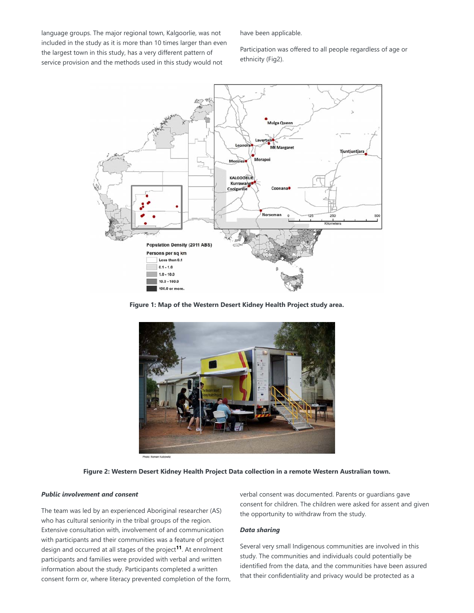language groups. The major regional town, Kalgoorlie, was not included in the study as it is more than 10 times larger than even the largest town in this study, has a very different pattern of service provision and the methods used in this study would not

have been applicable.

Participation was offered to all people regardless of age or ethnicity (Fig2).



**Figure 1: Map of the Western Desert Kidney Health Project study area.**



**Figure 2: Western Desert Kidney Health Project Data collection in a remote Western Australian town.**

### *Public involvement and consent*

The team was led by an experienced Aboriginal researcher (AS) who has cultural seniority in the tribal groups of the region. Extensive consultation with, involvement of and communication with participants and their communities was a feature of project design and occurred at all stages of the project<sup>11</sup>. At enrolment participants and families were provided with verbal and written information about the study. Participants completed a written consent form or, where literacy prevented completion of the form, verbal consent was documented. Parents or guardians gave consent for children. The children were asked for assent and given the opportunity to withdraw from the study.

### *Data sharing*

Several very small Indigenous communities are involved in this study. The communities and individuals could potentially be identified from the data, and the communities have been assured that their confidentiality and privacy would be protected as a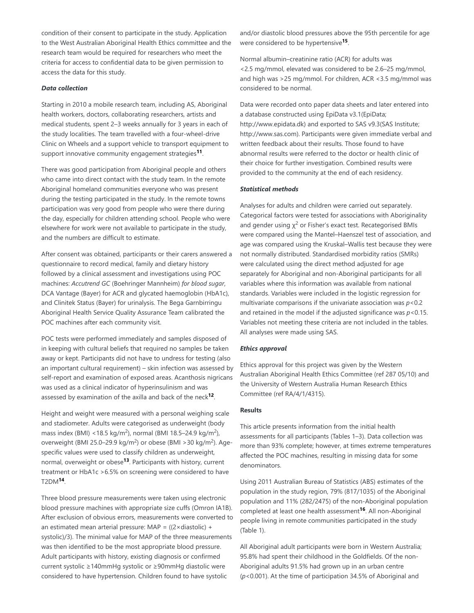condition of their consent to participate in the study. Application to the West Australian Aboriginal Health Ethics committee and the research team would be required for researchers who meet the criteria for access to confidential data to be given permission to access the data for this study.

### *Data collection*

Starting in 2010 a mobile research team, including AS, Aboriginal health workers, doctors, collaborating researchers, artists and medical students, spent 2–3 weeks annually for 3 years in each of the study localities. The team travelled with a four-wheel-drive Clinic on Wheels and a support vehicle to transport equipment to support innovative community engagement strategies<sup>11</sup>.

There was good participation from Aboriginal people and others who came into direct contact with the study team. In the remote Aboriginal homeland communities everyone who was present during the testing participated in the study. In the remote towns participation was very good from people who were there during the day, especially for children attending school. People who were elsewhere for work were not available to participate in the study, and the numbers are difficult to estimate.

After consent was obtained, participants or their carers answered a questionnaire to record medical, family and dietary history followed by a clinical assessment and investigations using POC machines: *Accutrend GC* (Boehringer Mannheim) *for blood sugar*, DCA Vantage (Bayer) for ACR and glycated haemoglobin (HbA1c), and Clinitek Status (Bayer) for urinalysis. The Bega Garnbirringu Aboriginal Health Service Quality Assurance Team calibrated the POC machines after each community visit.

POC tests were performed immediately and samples disposed of in keeping with cultural beliefs that required no samples be taken away or kept. Participants did not have to undress for testing (also an important cultural requirement) – skin infection was assessed by self-report and examination of exposed areas. Acanthosis nigricans was used as a clinical indicator of hyperinsulinism and was assessed by examination of the axilla and back of the neck<sup>12</sup>.

Height and weight were measured with a personal weighing scale and stadiometer. Adults were categorised as underweight (body mass index (BMI) <18.5 kg/m<sup>2</sup>), normal (BMI 18.5–24.9 kg/m<sup>2</sup>), overweight (BMI 25.0–29.9 kg/m<sup>2</sup>) or obese (BMI > 30 kg/m<sup>2</sup>). Agespecific values were used to classify children as underweight, normal, overweight or obese<sup>13</sup>. Participants with history, current treatment or HbA1c >6.5% on screening were considered to have T2DM<sup>14</sup>.

Three blood pressure measurements were taken using electronic blood pressure machines with appropriate size cuffs (Omron IA1B). After exclusion of obvious errors, measurements were converted to an estimated mean arterial pressure: MAP =  $((2 \times \text{diastolic}) +$ systolic)/3). The minimal value for MAP of the three measurements was then identified to be the most appropriate blood pressure. Adult participants with history, existing diagnosis or confirmed current systolic ≥140mmHg systolic or ≥90mmHg diastolic were considered to have hypertension. Children found to have systolic

and/or diastolic blood pressures above the 95th percentile for age were considered to be hypertensive<sup>15</sup>.

Normal albumin–creatinine ratio (ACR) for adults was <2.5 mg/mmol, elevated was considered to be 2.6–25 mg/mmol, and high was >25 mg/mmol. For children, ACR <3.5 mg/mmol was considered to be normal.

Data were recorded onto paper data sheets and later entered into a database constructed using EpiData v3.1(EpiData; http://www.epidata.dk) and exported to SAS v9.3(SAS Institute; http://www.sas.com). Participants were given immediate verbal and written feedback about their results. Those found to have abnormal results were referred to the doctor or health clinic of their choice for further investigation. Combined results were provided to the community at the end of each residency.

#### *Statistical methods*

Analyses for adults and children were carried out separately. Categorical factors were tested for associations with Aboriginality and gender using  $\chi^2$  or Fisher's exact test. Recategorised BMIs were compared using the Mantel–Haenszel test of association, and age was compared using the Kruskal–Wallis test because they were not normally distributed. Standardised morbidity ratios (SMRs) were calculated using the direct method adjusted for age separately for Aboriginal and non-Aboriginal participants for all variables where this information was available from national standards. Variables were included in the logistic regression for multivariate comparisons if the univariate association was *p*<0.2 and retained in the model if the adjusted significance was *p*<0.15. Variables not meeting these criteria are not included in the tables. All analyses were made using SAS.

#### *Ethics approval*

Ethics approval for this project was given by the Western Australian Aboriginal Health Ethics Committee (ref 287 05/10) and the University of Western Australia Human Research Ethics Committee (ref RA/4/1/4315).

#### **Results**

This article presents information from the initial health assessments for all participants (Tables 1–3). Data collection was more than 93% complete; however, at times extreme temperatures affected the POC machines, resulting in missing data for some denominators.

Using 2011 Australian Bureau of Statistics (ABS) estimates of the population in the study region, 79% (817/1035) of the Aboriginal population and 11% (282/2475) of the non-Aboriginal population completed at least one health assessment<sup>16</sup>. All non-Aboriginal people living in remote communities participated in the study (Table 1).

All Aboriginal adult participants were born in Western Australia; 95.8% had spent their childhood in the Goldfields. Of the non-Aboriginal adults 91.5% had grown up in an urban centre (*p*<0.001). At the time of participation 34.5% of Aboriginal and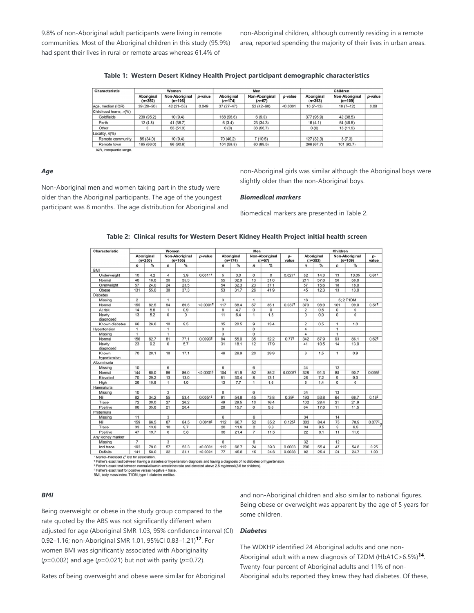9.8% of non-Aboriginal adult participants were living in remote communities. Most of the Aboriginal children in this study (95.9%) had spent their lives in rural or remote areas whereas 61.4% of

non-Aboriginal children, although currently residing in a remote area, reported spending the majority of their lives in urban areas.

**Table 1: Western Desert Kidney Health Project participant demographic characteristics**

| Characteristic            |                                | Women                       |         |                                | Men                        |          | Children                |                             |         |  |
|---------------------------|--------------------------------|-----------------------------|---------|--------------------------------|----------------------------|----------|-------------------------|-----------------------------|---------|--|
|                           | <b>Aboriginal</b><br>$(n=250)$ | Non-Aboriginal<br>$(n=106)$ | p-value | <b>Aboriginal</b><br>$(n=174)$ | Non-Aboriginal<br>$(n=67)$ | p-value  | Aboriginal<br>$(n=393)$ | Non-Aboriginal<br>$(n=109)$ | p-value |  |
| Age, median (IQR)         | $39(28 - 50)$                  | 42 (31-53)                  | 0.049   | $37(27-47)$                    | $52(42 - 60)$              | < 0.0001 | $10(7-13)$              | $10(7-12)$                  | 0.08    |  |
| Childhood home, n(%)      |                                |                             |         |                                |                            |          |                         |                             |         |  |
| Goldfields                | 238 (95.2)                     | 10(9.4)                     |         | 168 (96.6)                     | 6(9.0)                     |          | 377 (95.9)              | 42 (38.5)                   |         |  |
| Perth                     | 12(4.8)                        | 41 (38.7)                   |         | 6(3.4)                         | 23(34.3)                   |          | 16(4.1)                 | 54 (49.5)                   |         |  |
| Other                     | 0                              | 55 (51.9)                   |         | 0(0)                           | 38 (56.7)                  |          | 0(0)                    | 13 (11.9)                   |         |  |
| Locality, $n\frac{6}{6}$  |                                |                             |         |                                |                            |          |                         |                             |         |  |
| Remote community          | 85 (34.0)                      | 10(9.4)                     |         | 70 (40.2)                      | 7(10.5)                    |          | 127 (32.3)              | 8(7.3)                      |         |  |
| Remote town               | 165 (66.0)                     | 96 (90.6)                   |         | 104 (59.8)                     | 60 (89.5)                  |          | 266 (67.7)              | 101 (92.7)                  |         |  |
| IQR, interquartile range. |                                |                             |         |                                |                            |          |                         |                             |         |  |

*Age*

Non-Aboriginal men and women taking part in the study were older than the Aboriginal participants. The age of the youngest participant was 8 months. The age distribution for Aboriginal and non-Aboriginal girls was similar although the Aboriginal boys were slightly older than the non-Aboriginal boys.

#### *Biomedical markers*

Biomedical markers are presented in Table 2.

| <b>Unaracteristic</b> |                         | <i><b>AAQUIGU</b></i> |                             |      |           | меп                     |      |                            |                |                    | unnaren                 |      |                             |             |                   |
|-----------------------|-------------------------|-----------------------|-----------------------------|------|-----------|-------------------------|------|----------------------------|----------------|--------------------|-------------------------|------|-----------------------------|-------------|-------------------|
|                       | Aboriginal<br>$(n=250)$ |                       | Non-Aboriginal<br>$(n=106)$ |      | p-value   | Aboriginal<br>$(n=174)$ |      | Non-Aboriginal<br>$(n=67)$ |                | p-<br>value        | Aboriginal<br>$(n=393)$ |      | Non-Aboriginal<br>$(n=109)$ |             | p-<br>value       |
|                       | $\boldsymbol{n}$        | $\%$                  | n                           | $\%$ |           | n                       | $\%$ | n                          | %              |                    | $\overline{ }$          | ℁    | n                           | %           |                   |
| BMI                   |                         |                       |                             |      |           |                         |      |                            |                |                    |                         |      |                             |             |                   |
| Underweight           | 10                      | 4.2                   | 4                           | 3.9  | $0.0011*$ | 5                       | 3.0  | $\mathbf 0$                | $\overline{0}$ | $0.027*$           | 52                      | 14.3 | 13                          | 13.05       | $0.61*$           |
| Normal                | 40                      | 16.8                  | 36                          | 35.3 |           | 55                      | 32.9 | 13                         | 21.0           |                    | 211                     | 57.8 | 56                          | 56.0        |                   |
| Overweight            | 57                      | 24.0                  | 24                          | 23.5 |           | 54                      | 32.3 | 23                         | 37.1           |                    | 57                      | 15.6 | 18                          | 18.0        |                   |
| Obese                 | 131                     | 55.0                  | 38                          | 37.3 |           | 53                      | 31.7 | 26                         | 41.9           |                    | 45                      | 12.3 | 13                          | 13.0        |                   |
| <b>Diabetes</b>       |                         |                       |                             |      |           |                         |      |                            |                |                    |                         |      |                             |             |                   |
| Missing               | $\overline{2}$          |                       | 1                           |      |           | 3                       |      | 1                          |                |                    | 16                      |      |                             | 5: 2 T1DM   |                   |
| Normal                | 155                     | 62.5                  | 94                          | 89.5 | < 0.0001  | 117                     | 68.4 | 57                         | 85.1           | 0.037 <sup>1</sup> | 373                     | 98.9 | 101                         | 99.0        | 0.51              |
| At risk               | 14                      | 5.6                   | 1                           | 0.9  |           | 8                       | 4.7  | $\mathbf 0$                | $\Omega$       |                    | $\overline{c}$          | 0.5  | $\Omega$                    | 0           |                   |
| Newly<br>diagnosed    | 13                      | 5.2                   | 0                           | 0    |           | 11                      | 6.4  | 1                          | 1.5            |                    | 0                       | 0.0  | $\Omega$                    | $\mathbf 0$ |                   |
| Known diabetes        | 66                      | 26.6                  | 10                          | 9.5  |           | 35                      | 20.5 | 9                          | 13.4           |                    | $\overline{2}$          | 0.5  | $\mathbf{1}$                | 1.0         |                   |
| Hypertension          | $\mathbf{1}$            |                       | $\mathbf{1}$                |      |           | 3                       |      | 0                          |                |                    | 4                       |      | 1                           |             |                   |
| Missing               | 1                       |                       | 1                           |      |           | 3                       |      | $\Omega$                   |                |                    | 4                       |      | 1                           |             |                   |
| Normal                | 156                     | 62.7                  | 81                          | 77.1 | 0.00931   | 94                      | 55.0 | 35                         | 52.2           | 0.771              | 342                     | 87.9 | 93                          | 86.1        | 0.627             |
| Newly<br>diagnosed    | 23                      | 9.2                   | 6                           | 5.7  |           | 31                      | 18.1 | 12                         | 17.9           |                    | 41                      | 10.5 | 14                          | 13.0        |                   |
| Known<br>hypertension | 70                      | 28.1                  | 18                          | 17.1 |           | 46                      | 26.9 | 20                         | 29.9           |                    | 6                       | 1.5  | 1                           | 0.9         |                   |
| Albuminuria           |                         |                       |                             |      |           |                         |      |                            |                |                    |                         |      |                             |             |                   |
| Missing               | 10                      |                       | 6                           |      |           | 6                       |      | 6                          |                |                    | 34                      |      | 12                          |             |                   |
| Normal                | 144                     | 60.0                  | 86                          | 86.0 | < 0.00015 | 104                     | 61.9 | 52                         | 85.2           | 0.00075            | 328                     | 91.3 | 88                          | 90.7        | 0.0955            |
| Elevated              | 70                      | 29.2                  | 13                          | 13.0 |           | 51                      | 30.4 | 8                          | 13.1           |                    | 26                      | 7.2  | 9                           | 9.3         |                   |
| High                  | 26                      | 10.8                  | 1                           | 1.0  |           | 13                      | 7.7  | 1                          | 1.6            |                    | 5                       | 1.4  | $\mathbf 0$                 | 0           |                   |
| Haematuria            |                         |                       |                             |      |           |                         |      |                            |                |                    |                         |      |                             |             |                   |
| Missing               | 10                      |                       | 3                           |      |           | 8                       |      | 6                          |                |                    | 34                      |      | 13                          |             |                   |
| Nil                   | 82                      | 34.2                  | 55                          | 53.4 | $0.0051*$ | 91                      | 54.8 | 45                         | 73.8           | $0.39*$            | 193                     | 53.8 | 64                          | 66.7        | 0.16 <sup>‡</sup> |
| Trace                 | 72                      | 30.0                  | 27                          | 26.2 |           | 49                      | 29.5 | 10                         | 16.4           |                    | 102                     | 28.4 | 21                          | 21.9        |                   |
| Positive              | 86                      | 35.8                  | 21                          | 20.4 |           | 26                      | 15.7 | 6                          | 9.8            |                    | 64                      | 17.8 | 11                          | 11.5        |                   |
| Proteinuria           |                         |                       |                             |      |           |                         |      |                            |                |                    |                         |      |                             |             |                   |
| Missing               | 11                      |                       | 3                           |      |           | 6                       |      | 6                          |                |                    | 34                      |      | 14                          |             |                   |
| Nil                   | 159                     | 66.5                  | 87                          | 84.5 | $0.0010*$ | 112                     | 66.7 | 52                         | 85.2           | $0.125*$           | 303                     | 84.4 | 75                          | 78.9        | $0.077^{2}$       |
| Trace                 | 33                      | 13.8                  | 10                          | 9.7  |           | 20                      | 11.9 | $\overline{c}$             | 3.3            |                    | 34                      | 9.5  | 9                           | 9.5         |                   |
| Positive              | 47                      | 19.7                  | 6                           | 5.8  |           | 36                      | 21.4 | $\overline{7}$             | 11.5           |                    | 22                      | 6.1  | 11                          | 11.6        |                   |
| Any kidney marker     |                         |                       |                             |      |           |                         |      |                            |                |                    |                         |      |                             |             |                   |
| Missing               | $\overline{7}$          |                       | 3                           |      |           | 6                       |      | 6                          |                |                    | 32                      |      | 12                          |             |                   |
| Incl trace            | 192                     | 79.0                  | 57                          | 55.3 | < 0.0001  | 112                     | 66.7 | $\overline{24}$            | 39.3           | 0.0003             | 200                     | 55.4 | 47                          | 54.8        | 0.25              |
| Definite              | 141                     | 58.0                  | 32                          | 31.1 | < 0.0001  | 77                      | 45.8 | 15                         | 24.6           | 0.0038             | 92                      | 25.4 | 24                          | 24.7        | 1.00              |
|                       |                         |                       |                             |      |           |                         |      |                            |                |                    |                         |      |                             |             |                   |

**Table 2: Clinical results for Western Desert Kidney Health Project initial health screen**

Mantel-Haenszel y2 test for association

mainter-neembook, test to essoukautori.<br>5 Fisher's exact test between having a diabetes or hypertension diagnosis and having a diagnosis of no diabetes or hypertension.<br>5 Fisher's exact test between normal albumin-creatini

#### *BMI*

Being overweight or obese in the study group compared to the rate quoted by the ABS was not significantly different when adjusted for age (Aboriginal SMR 1.03, 95% confidence interval (CI) 0.92-1.16; non-Aboriginal SMR 1.01, 95%Cl 0.83-1.21)<sup>17</sup>. For women BMI was significantly associated with Aboriginality (*p*=0.002) and age (*p*=0.021) but not with parity (*p*=0.72).

and non-Aboriginal children and also similar to national figures. Being obese or overweight was apparent by the age of 5 years for some children.

#### *Diabetes*

The WDKHP identified 24 Aboriginal adults and one non-Aboriginal adult with a new diagnosis of T2DM (HbA1C>6.5%)<sup>14</sup>. Twenty-four percent of Aboriginal adults and 11% of non-Aboriginal adults reported they knew they had diabetes. Of these,

Rates of being overweight and obese were similar for Aboriginal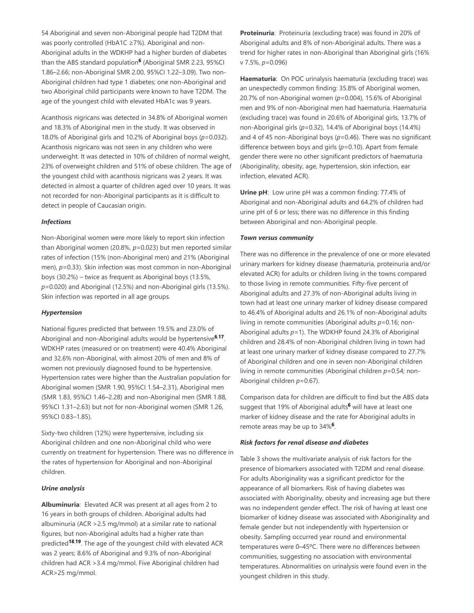54 Aboriginal and seven non-Aboriginal people had T2DM that was poorly controlled (HbA1C ≥7%). Aboriginal and non-Aboriginal adults in the WDKHP had a higher burden of diabetes than the ABS standard population<sup>6</sup> (Aboriginal SMR 2.23, 95%CI 1.86–2.66; non-Aboriginal SMR 2.00, 95%CI 1.22–3.09). Two non-Aboriginal children had type 1 diabetes; one non-Aboriginal and two Aboriginal child participants were known to have T2DM. The age of the youngest child with elevated HbA1c was 9 years.

Acanthosis nigricans was detected in 34.8% of Aboriginal women and 18.3% of Aboriginal men in the study. It was observed in 18.0% of Aboriginal girls and 10.2% of Aboriginal boys (*p*=0.032). Acanthosis nigricans was not seen in any children who were underweight. It was detected in 10% of children of normal weight, 23% of overweight children and 51% of obese children. The age of the youngest child with acanthosis nigricans was 2 years. It was detected in almost a quarter of children aged over 10 years. It was not recorded for non-Aboriginal participants as it is difficult to detect in people of Caucasian origin.

### *Infections*

Non-Aboriginal women were more likely to report skin infection than Aboriginal women (20.8%, *p*=0.023) but men reported similar rates of infection (15% (non-Aboriginal men) and 21% (Aboriginal men), *p*=0.33). Skin infection was most common in non-Aboriginal boys (30.2%) – twice as frequent as Aboriginal boys (13.5%, *p*=0.020) and Aboriginal (12.5%) and non-Aboriginal girls (13.5%). Skin infection was reported in all age groups.

### *Hypertension*

National figures predicted that between 19.5% and 23.0% of Aboriginal and non-Aboriginal adults would be hypertensive<sup>6,17</sup>. WDKHP rates (measured or on treatment) were 40.4% Aboriginal and 32.6% non-Aboriginal, with almost 20% of men and 8% of women not previously diagnosed found to be hypertensive. Hypertension rates were higher than the Australian population for Aboriginal women (SMR 1.90, 95%CI 1.54–2.31), Aboriginal men (SMR 1.83, 95%CI 1.46–2.28) and non-Aboriginal men (SMR 1.88, 95%CI 1.31–2.63) but not for non-Aboriginal women (SMR 1.26, 95%CI 0.83–1.85).

Sixty-two children (12%) were hypertensive, including six Aboriginal children and one non-Aboriginal child who were currently on treatment for hypertension. There was no difference in the rates of hypertension for Aboriginal and non-Aboriginal children.

### *Urine analysis*

**Albuminuria**: Elevated ACR was present at all ages from 2 to 16 years in both groups of children. Aboriginal adults had albuminuria (ACR >2.5 mg/mmol) at a similar rate to national figures, but non-Aboriginal adults had a higher rate than predicted<sup>18,19</sup>. The age of the youngest child with elevated ACR was 2 years; 8.6% of Aboriginal and 9.3% of non-Aboriginal children had ACR >3.4 mg/mmol. Five Aboriginal children had ACR>25 mg/mmol.

**Proteinuria**: Proteinuria (excluding trace) was found in 20% of Aboriginal adults and 8% of non-Aboriginal adults. There was a trend for higher rates in non-Aboriginal than Aboriginal girls (16% v 7.5%, *p*=0.096)

**Haematuria**: On POC urinalysis haematuria (excluding trace) was an unexpectedly common finding: 35.8% of Aboriginal women, 20.7% of non-Aboriginal women (*p*=0.004), 15.6% of Aboriginal men and 9% of non-Aboriginal men had haematuria. Haematuria (excluding trace) was found in 20.6% of Aboriginal girls, 13.7% of non-Aboriginal girls (*p*=0.32), 14.4% of Aboriginal boys (14.4%) and 4 of 45 non-Aboriginal boys (*p*=0.46). There was no significant difference between boys and girls (*p*=0.10). Apart from female gender there were no other significant predictors of haematuria (Aboriginality, obesity, age, hypertension, skin infection, ear infection, elevated ACR).

**Urine pH**: Low urine pH was a common finding: 77.4% of Aboriginal and non-Aboriginal adults and 64.2% of children had urine pH of 6 or less; there was no difference in this finding between Aboriginal and non-Aboriginal people.

# *Town versus community*

There was no difference in the prevalence of one or more elevated urinary markers for kidney disease (haematuria, proteinuria and/or elevated ACR) for adults or children living in the towns compared to those living in remote communities. Fifty-five percent of Aboriginal adults and 27.3% of non-Aboriginal adults living in town had at least one urinary marker of kidney disease compared to 46.4% of Aboriginal adults and 26.1% of non-Aboriginal adults living in remote communities (Aboriginal adults *p*=0.16; non-Aboriginal adults *p*=1). The WDKHP found 24.3% of Aboriginal children and 28.4% of non-Aboriginal children living in town had at least one urinary marker of kidney disease compared to 27.7% of Aboriginal children and one in seven non-Aboriginal children living in remote communities (Aboriginal children *p*=0.54; non-Aboriginal children *p*=0.67).

Comparison data for children are difficult to find but the ABS data suggest that 19% of Aboriginal adults<sup>6</sup> will have at least one marker of kidney disease and the rate for Aboriginal adults in remote areas may be up to 34%<sup>6</sup>.

# *Risk factors for renal disease and diabetes*

Table 3 shows the multivariate analysis of risk factors for the presence of biomarkers associated with T2DM and renal disease. For adults Aboriginality was a significant predictor for the appearance of all biomarkers. Risk of having diabetes was associated with Aboriginality, obesity and increasing age but there was no independent gender effect. The risk of having at least one biomarker of kidney disease was associated with Aboriginality and female gender but not independently with hypertension or obesity. Sampling occurred year round and environmental temperatures were 0–45ºC. There were no differences between communities, suggesting no association with environmental temperatures. Abnormalities on urinalysis were found even in the youngest children in this study.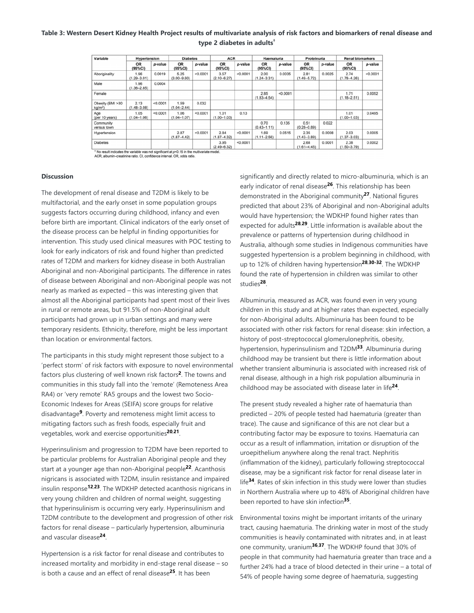# **Table 3: Western Desert Kidney Health Project results of multivariate analysis of risk factors and biomarkers of renal disease and type 2 diabetes in adults †**

| Variable                              | Hypertension            |          | <b>Diabetes</b>         |          | <b>ACR</b>              |          | Haematuria              |          | Proteinuria             |         | <b>Renal biomarkers</b> |          |
|---------------------------------------|-------------------------|----------|-------------------------|----------|-------------------------|----------|-------------------------|----------|-------------------------|---------|-------------------------|----------|
|                                       | <b>OR</b><br>(95%CI)    | p-value  | <b>OR</b><br>(95%CI)    | p-value  | <b>OR</b><br>(95%CI)    | p-value  | OR<br>(95%CI)           | p-value  | OR<br>(95%CI)           | p-value | OR<br>(95%CI)           | p-value  |
| Aboriginality                         | 1.96<br>$(1.29 - 3.01)$ | 0.0019   | 5.25<br>$(3.00 - 9.60)$ | < 0.0001 | 3.57<br>$(2.10 - 6.27)$ | < 0.0001 | 2.00<br>$(1.24 - 3.31)$ | 0.0035   | 2.81<br>$(1.49 - 5.72)$ | 0.0025  | 2.74<br>$(1.78 - 4.26)$ | < 0.0001 |
| Male                                  | 1.96<br>$(1.36 - 2.85)$ | 0.0004   |                         |          |                         |          |                         |          |                         |         |                         |          |
| Female                                |                         |          |                         |          |                         |          | 2.85<br>$(1.83 - 4.54)$ | < 0.0001 |                         |         | 1.71<br>$(1.18 - 2.51)$ | 0.0052   |
| Obesity (BMI >30<br>kq/m <sup>2</sup> | 2.13<br>$(1.48 - 3.08)$ | < 0.0001 | 1.59<br>$(1.04 - 2.44)$ | 0.032    |                         |          |                         |          |                         |         |                         |          |
| Age<br>(per 10 years)                 | 1.05<br>$(1.04 - 1.06)$ | < 0.0001 | 1.06<br>$(1.04 - 1.07)$ | < 0.0001 | 1.01<br>$(1.00 - 1.03)$ | 0.13     |                         |          |                         |         | 1.01<br>$(1.00 - 1.03)$ | 0.0495   |
| Community<br>versus town              |                         |          |                         |          |                         |          | 0.70<br>$(0.43 - 1.11)$ | 0.135    | 0.51<br>$(0.28 - 0.89)$ | 0.022   |                         |          |
| Hypertension                          |                         |          | 2.87<br>$(1.87 - 4.42)$ | < 0.0001 | 2.84<br>$(1.87 - 4.32)$ | < 0.0001 | 1.69<br>$(1.11 - 2.56)$ | 0.0515   | 2.35<br>$(1.43 - 3.89)$ | 0.0008  | 2.03<br>$(1.37 - 3.03)$ | 0.0005   |
| <b>Diabetes</b>                       |                         |          |                         |          | 3.95<br>$(2.49 - 6.32)$ | < 0.0001 |                         |          | 2.68<br>$(1.61 - 4.45)$ | 0.0001  | 2.38<br>$(1.50 - 3.79)$ | 0.0002   |

† No result indicates the variable was not significant at p<0.15 in the n<br>ACR, albumin–creatinine ratio. CI, confidence interval. OR, odds ratio

### **Discussion**

The development of renal disease and T2DM is likely to be multifactorial, and the early onset in some population groups suggests factors occurring during childhood, infancy and even before birth are important. Clinical indicators of the early onset of the disease process can be helpful in finding opportunities for intervention. This study used clinical measures with POC testing to look for early indicators of risk and found higher than predicted rates of T2DM and markers for kidney disease in both Australian Aboriginal and non-Aboriginal participants. The difference in rates of disease between Aboriginal and non-Aboriginal people was not nearly as marked as expected – this was interesting given that almost all the Aboriginal participants had spent most of their lives in rural or remote areas, but 91.5% of non-Aboriginal adult participants had grown up in urban settings and many were temporary residents. Ethnicity, therefore, might be less important than location or environmental factors.

The participants in this study might represent those subject to a 'perfect storm' of risk factors with exposure to novel environmental factors plus clustering of well known risk factors<sup>2</sup>. The towns and communities in this study fall into the 'remote' (Remoteness Area RA4) or 'very remote' RA5 groups and the lowest two Socio-Economic Indexes for Areas (SEIFA) score groups for relative disadvantage<sup>9</sup>. Poverty and remoteness might limit access to mitigating factors such as fresh foods, especially fruit and vegetables, work and exercise opportunities<sup>20,21</sup>.

Hyperinsulinism and progression to T2DM have been reported to be particular problems for Australian Aboriginal people and they start at a younger age than non-Aboriginal people<sup>22</sup>. Acanthosis nigricans is associated with T2DM, insulin resistance and impaired insulin response<sup>12,23</sup>. The WDKHP detected acanthosis nigricans in very young children and children of normal weight, suggesting that hyperinsulinism is occurring very early. Hyperinsulinism and T2DM contribute to the development and progression of other risk factors for renal disease – particularly hypertension, albuminuria and vascular disease<sup>24</sup>.

Hypertension is a risk factor for renal disease and contributes to increased mortality and morbidity in end-stage renal disease – so is both a cause and an effect of renal disease<sup>25</sup>. It has been

significantly and directly related to micro-albuminuria, which is an early indicator of renal disease<sup>26</sup>. This relationship has been demonstrated in the Aboriginal community<sup>27</sup>. National figures predicted that about 23% of Aboriginal and non-Aboriginal adults would have hypertension; the WDKHP found higher rates than expected for adults<sup>28,29</sup>. Little information is available about the prevalence or patterns of hypertension during childhood in Australia, although some studies in Indigenous communities have suggested hypertension is a problem beginning in childhood, with up to 12% of children having hypertension<sup>28,30-32</sup>. The WDKHP found the rate of hypertension in children was similar to other studies<sup>28</sup>.

Albuminuria, measured as ACR, was found even in very young children in this study and at higher rates than expected, especially for non-Aboriginal adults. Albuminuria has been found to be associated with other risk factors for renal disease: skin infection, a history of post-streptococcal glomerulonephritis, obesity, hypertension, hyperinsulinism and T2DM<sup>33</sup>. Albuminuria during childhood may be transient but there is little information about whether transient albuminuria is associated with increased risk of renal disease, although in a high risk population albuminuria in childhood may be associated with disease later in life<sup>24</sup>.

The present study revealed a higher rate of haematuria than predicted – 20% of people tested had haematuria (greater than trace). The cause and significance of this are not clear but a contributing factor may be exposure to toxins. Haematuria can occur as a result of inflammation, irritation or disruption of the uroepithelium anywhere along the renal tract. Nephritis (inflammation of the kidney), particularly following streptococcal disease, may be a significant risk factor for renal disease later in life<sup>34</sup>. Rates of skin infection in this study were lower than studies in Northern Australia where up to 48% of Aboriginal children have been reported to have skin infection<sup>35</sup>.

Environmental toxins might be important irritants of the urinary tract, causing haematuria. The drinking water in most of the study communities is heavily contaminated with nitrates and, in at least one community, uranium<sup>36,37</sup>. The WDKHP found that 30% of people in that community had haematuria greater than trace and a further 24% had a trace of blood detected in their urine – a total of 54% of people having some degree of haematuria, suggesting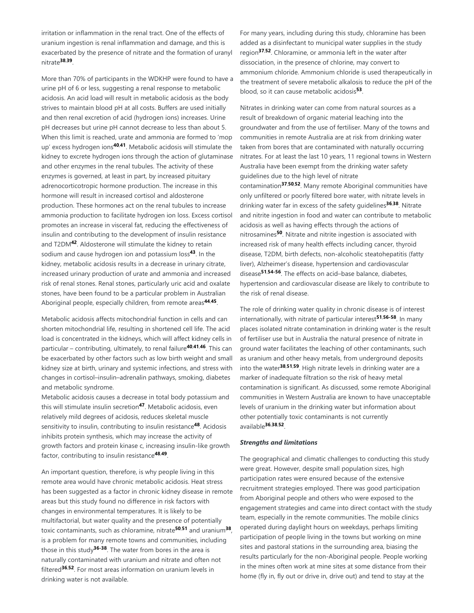irritation or inflammation in the renal tract. One of the effects of uranium ingestion is renal inflammation and damage, and this is exacerbated by the presence of nitrate and the formation of uranyl nitrate . **38**,**39**

More than 70% of participants in the WDKHP were found to have a urine pH of 6 or less, suggesting a renal response to metabolic acidosis. An acid load will result in metabolic acidosis as the body strives to maintain blood pH at all costs. Buffers are used initially and then renal excretion of acid (hydrogen ions) increases. Urine pH decreases but urine pH cannot decrease to less than about 5. When this limit is reached, urate and ammonia are formed to 'mop up' excess hydrogen ions<sup>40,41</sup>. Metabolic acidosis will stimulate the kidney to excrete hydrogen ions through the action of glutaminase and other enzymes in the renal tubules. The activity of these enzymes is governed, at least in part, by increased pituitary adrenocorticotropic hormone production. The increase in this hormone will result in increased cortisol and aldosterone production. These hormones act on the renal tubules to increase ammonia production to facilitate hydrogen ion loss. Excess cortisol promotes an increase in visceral fat, reducing the effectiveness of insulin and contributing to the development of insulin resistance and T2DM<sup>42</sup>. Aldosterone will stimulate the kidney to retain sodium and cause hydrogen ion and potassium loss<sup>43</sup>. In the kidney, metabolic acidosis results in a decrease in urinary citrate, increased urinary production of urate and ammonia and increased risk of renal stones. Renal stones, particularly uric acid and oxalate stones, have been found to be a particular problem in Australian Aboriginal people, especially children, from remote areas<sup>44,45</sup>.

Metabolic acidosis affects mitochondrial function in cells and can shorten mitochondrial life, resulting in shortened cell life. The acid load is concentrated in the kidneys, which will affect kidney cells in particular – contributing, ultimately, to renal failure<sup>40,41,46</sup>. This can be exacerbated by other factors such as low birth weight and small kidney size at birth, urinary and systemic infections, and stress with changes in cortisol–insulin–adrenalin pathways, smoking, diabetes and metabolic syndrome.

Metabolic acidosis causes a decrease in total body potassium and this will stimulate insulin secretion<sup>47</sup>. Metabolic acidosis, even relatively mild degrees of acidosis, reduces skeletal muscle sensitivity to insulin, contributing to insulin resistance<sup>48</sup>. Acidosis inhibits protein synthesis, which may increase the activity of growth factors and protein kinase c, increasing insulin-like growth factor, contributing to insulin resistance<sup>48,49</sup>.

An important question, therefore, is why people living in this remote area would have chronic metabolic acidosis. Heat stress has been suggested as a factor in chronic kidney disease in remote areas but this study found no difference in risk factors with changes in environmental temperatures. It is likely to be multifactorial, but water quality and the presence of potentially toxic contaminants, such as chloramine, nitrate<sup>50,51</sup> and uranium<sup>38</sup>, is a problem for many remote towns and communities, including those in this study<sup>36-38</sup>. The water from bores in the area is naturally contaminated with uranium and nitrate and often not filtered<sup>36,52</sup>. For most areas information on uranium levels in drinking water is not available.

For many years, including during this study, chloramine has been added as a disinfectant to municipal water supplies in the study region<sup>37,52</sup>. Chloramine, or ammonia left in the water after dissociation, in the presence of chlorine, may convert to ammonium chloride. Ammonium chloride is used therapeutically in the treatment of severe metabolic alkalosis to reduce the pH of the blood, so it can cause metabolic acidosis<sup>53</sup>.

Nitrates in drinking water can come from natural sources as a result of breakdown of organic material leaching into the groundwater and from the use of fertiliser. Many of the towns and communities in remote Australia are at risk from drinking water taken from bores that are contaminated with naturally occurring nitrates. For at least the last 10 years, 11 regional towns in Western Australia have been exempt from the drinking water safety guidelines due to the high level of nitrate contamination<sup>37,50,52</sup>. Many remote Aboriginal communities have only unfiltered or poorly filtered bore water, with nitrate levels in drinking water far in excess of the safety guidelines<sup>36,38</sup>. Nitrate and nitrite ingestion in food and water can contribute to metabolic acidosis as well as having effects through the actions of nitrosamines<sup>50</sup>. Nitrate and nitrite ingestion is associated with increased risk of many health effects including cancer, thyroid disease, T2DM, birth defects, non-alcoholic steatohepatitis (fatty liver), Alzheimer's disease, hypertension and cardiovascular disease<sup>51,54-56</sup>. The effects on acid-base balance, diabetes, hypertension and cardiovascular disease are likely to contribute to the risk of renal disease.

The role of drinking water quality in chronic disease is of interest internationally, with nitrate of particular interest<sup>51,56-58</sup>. In many places isolated nitrate contamination in drinking water is the result of fertiliser use but in Australia the natural presence of nitrate in ground water facilitates the leaching of other contaminants, such as uranium and other heavy metals, from underground deposits into the water<sup>38,51,59</sup>. High nitrate levels in drinking water are a marker of inadequate filtration so the risk of heavy metal contamination is significant. As discussed, some remote Aboriginal communities in Western Australia are known to have unacceptable levels of uranium in the drinking water but information about other potentially toxic contaminants is not currently available . **36**,**38**,**52**

### *Strengths and limitations*

The geographical and climatic challenges to conducting this study were great. However, despite small population sizes, high participation rates were ensured because of the extensive recruitment strategies employed. There was good participation from Aboriginal people and others who were exposed to the engagement strategies and came into direct contact with the study team, especially in the remote communities. The mobile clinics operated during daylight hours on weekdays, perhaps limiting participation of people living in the towns but working on mine sites and pastoral stations in the surrounding area, biasing the results particularly for the non-Aboriginal people. People working in the mines often work at mine sites at some distance from their home (fly in, fly out or drive in, drive out) and tend to stay at the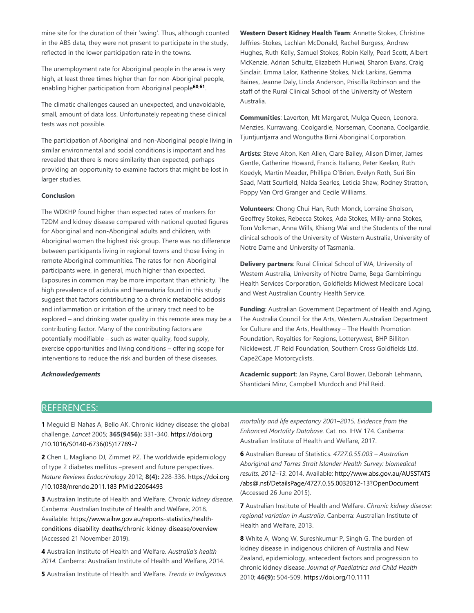mine site for the duration of their 'swing'. Thus, although counted in the ABS data, they were not present to participate in the study, reflected in the lower participation rate in the towns.

The unemployment rate for Aboriginal people in the area is very high, at least three times higher than for non-Aboriginal people, enabling higher participation from Aboriginal people<sup>60,61</sup>.

The climatic challenges caused an unexpected, and unavoidable, small, amount of data loss. Unfortunately repeating these clinical tests was not possible.

The participation of Aboriginal and non-Aboriginal people living in similar environmental and social conditions is important and has revealed that there is more similarity than expected, perhaps providing an opportunity to examine factors that might be lost in larger studies.

#### **Conclusion**

The WDKHP found higher than expected rates of markers for T2DM and kidney disease compared with national quoted figures for Aboriginal and non-Aboriginal adults and children, with Aboriginal women the highest risk group. There was no difference between participants living in regional towns and those living in remote Aboriginal communities. The rates for non-Aboriginal participants were, in general, much higher than expected. Exposures in common may be more important than ethnicity. The high prevalence of aciduria and haematuria found in this study suggest that factors contributing to a chronic metabolic acidosis and inflammation or irritation of the urinary tract need to be explored – and drinking water quality in this remote area may be a contributing factor. Many of the contributing factors are potentially modifiable – such as water quality, food supply, exercise opportunities and living conditions – offering scope for interventions to reduce the risk and burden of these diseases.

### *Acknowledgements*

**Western Desert Kidney Health Team**: Annette Stokes, Christine Jeffries-Stokes, Lachlan McDonald, Rachel Burgess, Andrew Hughes, Ruth Kelly, Samuel Stokes, Robin Kelly, Pearl Scott, Albert McKenzie, Adrian Schultz, Elizabeth Huriwai, Sharon Evans, Craig Sinclair, Emma Lalor, Katherine Stokes, Nick Larkins, Gemma Baines, Jeanne Daly, Linda Anderson, Priscilla Robinson and the staff of the Rural Clinical School of the University of Western Australia.

**Communities**: Laverton, Mt Margaret, Mulga Queen, Leonora, Menzies, Kurrawang, Coolgardie, Norseman, Coonana, Coolgardie, Tjuntjuntjarra and Wongutha Birni Aboriginal Corporation.

**Artists**: Steve Aiton, Ken Allen, Clare Bailey, Alison Dimer, James Gentle, Catherine Howard, Francis Italiano, Peter Keelan, Ruth Koedyk, Martin Meader, Phillipa O'Brien, Evelyn Roth, Suri Bin Saad, Matt Scurfield, Nalda Searles, Leticia Shaw, Rodney Stratton, Poppy Van Ord Granger and Cecile Williams.

**Volunteers**: Chong Chui Han, Ruth Monck, Lorraine Sholson, Geoffrey Stokes, Rebecca Stokes, Ada Stokes, Milly-anna Stokes, Tom Volkman, Anna Wills, Khiang Wai and the Students of the rural clinical schools of the University of Western Australia, University of Notre Dame and University of Tasmania.

**Delivery partners**: Rural Clinical School of WA, University of Western Australia, University of Notre Dame, Bega Garnbirringu Health Services Corporation, Goldfields Midwest Medicare Local and West Australian Country Health Service.

**Funding**: Australian Government Department of Health and Aging, The Australia Council for the Arts, Western Australian Department for Culture and the Arts, Healthway – The Health Promotion Foundation, Royalties for Regions, Lotterywest, BHP Billiton Nicklewest, JT Reid Foundation, Southern Cross Goldfields Ltd, Cape2Cape Motorcyclists.

**Academic support**: Jan Payne, Carol Bower, Deborah Lehmann, Shantidani Minz, Campbell Murdoch and Phil Reid.

# REFERENCES:

**1** Meguid El Nahas A, Bello AK. Chronic kidney disease: the global challenge. *Lancet* 2005; **365(9456):** 331-340. https://doi.org /10.1016/S0140-6736(05)17789-7

**2** Chen L, Magliano DJ, Zimmet PZ. The worldwide epidemiology of type 2 diabetes mellitus –present and future perspectives. *Nature Reviews Endocrinology* 2012; **8(4):** 228-336. https://doi.org /10.1038/nrendo.2011.183 PMid:22064493

**3** Australian Institute of Health and Welfare. *Chronic kidney disease.* Canberra: Australian Institute of Health and Welfare, 2018. Available: https://www.aihw.gov.au/reports-statistics/healthconditions-disability-deaths/chronic-kidney-disease/overview (Accessed 21 November 2019).

**4** Australian Institute of Health and Welfare. *Australia's health 2014.* Canberra: Australian Institute of Health and Welfare, 2014.

**5** Australian Institute of Health and Welfare. *Trends in Indigenous*

*mortality and life expectancy 2001–2015. Evidence from the Enhanced Mortality Database.* Cat. no. IHW 174. Canberra: Australian Institute of Health and Welfare, 2017.

**6** Australian Bureau of Statistics. *4727.0.55.003 – Australian Aboriginal and Torres Strait Islander Health Survey: biomedical results, 2012–13.* 2014. Available: http://www.abs.gov.au/AUSSTATS /abs@.nsf/DetailsPage/4727.0.55.0032012-13?OpenDocument (Accessed 26 June 2015).

**7** Australian Institute of Health and Welfare. *Chronic kidney disease: regional variation in Australia.* Canberra: Australian Institute of Health and Welfare, 2013.

**8** White A, Wong W, Sureshkumur P, Singh G. The burden of kidney disease in indigenous children of Australia and New Zealand, epidemiology, antecedent factors and progression to chronic kidney disease. *Journal of Paediatrics and Child Health* 2010; **46(9):** 504-509. https://doi.org/10.1111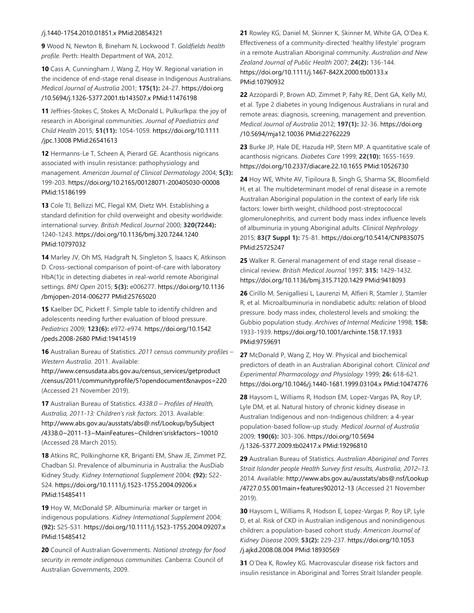### /j.1440-1754.2010.01851.x PMid:20854321

**9** Wood N, Newton B, Bineham N, Lockwood T. *Goldfields health profile.* Perth: Health Department of WA, 2012.

**10** Cass A, Cunningham J, Wang Z, Hoy W. Regional variation in the incidence of end-stage renal disease in Indigenous Australians. *Medical Journal of Australia* 2001; **175(1):** 24-27. https://doi.org /10.5694/j.1326-5377.2001.tb143507.x PMid:11476198

**11** Jeffries-Stokes C, Stokes A, McDonald L. Pulkurlkpa: the joy of research in Aboriginal communities. *Journal of Paediatrics and Child Health* 2015; **51(11):** 1054-1059. https://doi.org/10.1111 /jpc.13008 PMid:26541613

**12** Hermanns-Le T, Scheen A, Pierard GE. Acanthosis nigricans associated with insulin resistance: pathophysiology and management. *American Journal of Clinical Dermatology* 2004; **5(3):** 199-203. https://doi.org/10.2165/00128071-200405030-00008 PMid:15186199

**13** Cole TJ, Bellizzi MC, Flegal KM, Dietz WH. Establishing a standard definition for child overweight and obesity worldwide: international survey. *British Medical Journal* 2000; **320(7244):** 1240-1243. https://doi.org/10.1136/bmj.320.7244.1240 PMid:10797032

**14** Marley JV, Oh MS, Hadgraft N, Singleton S, Isaacs K, Atkinson D. Cross-sectional comparison of point-of-care with laboratory HbA(1)c in detecting diabetes in real-world remote Aboriginal settings. *BMJ Open* 2015; **5(3):** e006277. https://doi.org/10.1136 /bmjopen-2014-006277 PMid:25765020

**15** Kaelber DC, Pickett F. Simple table to identify children and adolescents needing further evaluation of blood pressure. *Pediatrics* 2009; **123(6):** e972-e974. https://doi.org/10.1542 /peds.2008-2680 PMid:19414519

**16** Australian Bureau of Statistics. *2011 census community profiles – Western Australia.* 2011. Available:

http://www.censusdata.abs.gov.au/census\_services/getproduct /census/2011/communityprofile/5?opendocument&navpos=220 (Accessed 21 November 2019).

**17** Australian Bureau of Statistics. *4338.0 – Profiles of Health, Australia, 2011-13: Children's risk factors.* 2013. Available: http://www.abs.gov.au/ausstats/abs@.nsf/Lookup/bySubject /4338.0~2011-13~MainFeatures~Children'sriskfactors~10010 (Accessed 28 March 2015).

**18** Atkins RC, Polkinghorne KR, Briganti EM, Shaw JE, Zimmet PZ, Chadban SJ. Prevalence of albuminuria in Australia: the AusDiab Kidney Study. *Kidney International Supplement* 2004; **(92):** S22- S24. https://doi.org/10.1111/j.1523-1755.2004.09206.x PMid:15485411

**19** Hoy W, McDonald SP. Albuminuria: marker or target in indigenous populations. *Kidney International Supplement* 2004; **(92):** S25-S31. https://doi.org/10.1111/j.1523-1755.2004.09207.x PMid:15485412

**20** Council of Australian Governments. *National strategy for food security in remote indigenous communities.* Canberra: Council of Australian Governments, 2009.

**21** Rowley KG, Daniel M, Skinner K, Skinner M, White GA, O'Dea K. Effectiveness of a community-directed 'healthy lifestyle' program in a remote Australian Aboriginal community. *Australian and New Zealand Journal of Public Health* 2007; **24(2):** 136-144. https://doi.org/10.1111/j.1467-842X.2000.tb00133.x PMid:10790932

**22** Azzopardi P, Brown AD, Zimmet P, Fahy RE, Dent GA, Kelly MJ, et al. Type 2 diabetes in young Indigenous Australians in rural and remote areas: diagnosis, screening, management and prevention. *Medical Journal of Australia* 2012; **197(1):** 32-36. https://doi.org /10.5694/mja12.10036 PMid:22762229

**23** Burke JP, Hale DE, Hazuda HP, Stern MP. A quantitative scale of acanthosis nigricans. *Diabetes Care* 1999; **22(10):** 1655-1659. https://doi.org/10.2337/diacare.22.10.1655 PMid:10526730

**24** Hoy WE, White AV, Tipiloura B, Singh G, Sharma SK, Bloomfield H, et al. The multideterminant model of renal disease in a remote Australian Aboriginal population in the context of early life risk factors: lower birth weight, childhood post-streptococcal glomerulonephritis, and current body mass index influence levels of albuminuria in young Aboriginal adults. *Clinical Nephrology* 2015; **83(7 Suppl 1):** 75-81. https://doi.org/10.5414/CNP83S075 PMid:25725247

**25** Walker R. General management of end stage renal disease – clinical review. *British Medical Journal* 1997; **315:** 1429-1432. https://doi.org/10.1136/bmj.315.7120.1429 PMid:9418093

**26** Cirillo M, Senigalliesi L, Laurenzi M, Alfieri R, Stamler J, Stamler R, et al. Microalbuminuria in nondiabetic adults: relation of blood pressure. body mass index, cholesterol levels and smoking: the Gubbio population study. *Archives of Internal Medicine* 1998; **158:** 1933-1939. https://doi.org/10.1001/archinte.158.17.1933 PMid:9759691

**27** McDonald P, Wang Z, Hoy W. Physical and biochemical predictors of death in an Australian Aboriginal cohort. *Clinical and Experimental Pharmacology and Physiology* 1999; **26:** 618-621. https://doi.org/10.1046/j.1440-1681.1999.03104.x PMid:10474776

**28** Haysom L, Williams R, Hodson EM, Lopez-Vargas PA, Roy LP, Lyle DM, et al. Natural history of chronic kidney disease in Australian Indigenous and non-Indigenous children: a 4-year population-based follow-up study. *Medical Journal of Australia* 2009; **190(6):** 303-306. https://doi.org/10.5694 /j.1326-5377.2009.tb02417.x PMid:19296810

**29** Australian Bureau of Statistics. *Australian Aboriginal and Torres Strait Islander people Health Survey first results, Australia, 2012–13.* 2014. Available: http://www.abs.gov.au/ausstats/abs@.nsf/Lookup /4727.0.55.001main+features902012-13 (Accessed 21 November 2019).

**30** Haysom L, Williams R, Hodson E, Lopez-Vargas P, Roy LP, Lyle D, et al. Risk of CKD in Australian indigenous and nonindigenous children: a population-based cohort study. *American Journal of Kidney Disease* 2009; **53(2):** 229-237. https://doi.org/10.1053 /j.ajkd.2008.08.004 PMid:18930569

**31** O'Dea K, Rowley KG. Macrovascular disease risk factors and insulin resistance in Aboriginal and Torres Strait Islander people.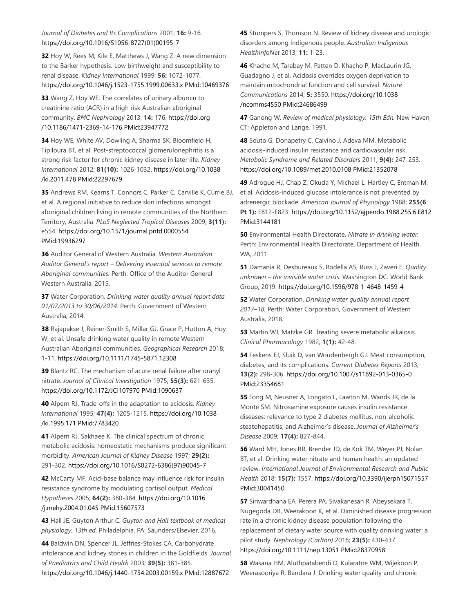*Journal of Diabetes and Its Complications* 2001; **16:** 9-16. https://doi.org/10.1016/S1056-8727(01)00195-7

**32** Hoy W, Rees M, Kile E, Matthews J, Wang Z. A new dimension to the Barker hypothesis. Low birthweight and susceptibility to renal disease. *Kidney International* 1999; **56:** 1072-1077. https://doi.org/10.1046/j.1523-1755.1999.00633.x PMid:10469376

**33** Wang Z, Hoy WE. The correlates of urinary albumin to creatinine ratio (ACR) in a high risk Australian aboriginal community. *BMC Nephrology* 2013; **14:** 176. https://doi.org /10.1186/1471-2369-14-176 PMid:23947772

**34** Hoy WE, White AV, Dowling A, Sharma SK, Bloomfield H, Tipiloura BT, et al. Post-streptococcal glomerulonephritis is a strong risk factor for chronic kidney disease in later life. *Kidney International* 2012; **81(10):** 1026-1032. https://doi.org/10.1038 /ki.2011.478 PMid:22297679

**35** Andrews RM, Kearns T, Connors C, Parker C, Carville K, Currie BJ, et al. A regional initiative to reduce skin infections amongst aboriginal children living in remote communities of the Northern Territory, Australia. *PLoS Neglected Tropical Diseases* 2009; **3(11):** e554. https://doi.org/10.1371/journal.pntd.0000554 PMid:19936297

**36** Auditor General of Western Australia. *Western Australian Auditor General's report – Delivering essential services to remote Aboriginal communities.* Perth: Office of the Auditor General Western Australia, 2015.

**37** Water Corporation. *Drinking water quality annual report data 01/07/2013 to 30/06/2014.* Perth: Government of Western Australia, 2014.

**38** Rajapakse J, Reiner-Smith S, Millar GJ, Grace P, Hutton A, Hoy W, et al. Unsafe drinking water quality in remote Western Australian Aboriginal communities. *Geographical Research* 2018; 1-11. https://doi.org/10.1111/1745-5871.12308

**39** Blantz RC. The mechanism of acute renal failure after uranyl nitrate. *Journal of Clinical Investigation* 1975; **55(3):** 621-635. https://doi.org/10.1172/JCI107970 PMid:1090637

**40** Alpern RJ. Trade-offs in the adaptation to acidosis. *Kidney International* 1995; **47(4):** 1205-1215. https://doi.org/10.1038 /ki.1995.171 PMid:7783420

**41** Alpern RJ, Sakhaee K. The clinical spectrum of chronic metabolic acidosis: homeostatic mechanisms produce significant morbidity. *American Journal of Kidney Disease* 1997; **29(2):** 291-302. https://doi.org/10.1016/S0272-6386(97)90045-7

**42** McCarty MF. Acid-base balance may influence risk for insulin resistance syndrome by modulating cortisol output. *Medical Hypotheses* 2005; **64(2):** 380-384. https://doi.org/10.1016 /j.mehy.2004.01.045 PMid:15607573

**43** Hall JE, Guyton Arthur C. *Guyton and Hall textbook of medical physiology. 13th ed.* Philadelphia, PA: Saunders/Elsevier, 2016.

**44** Baldwin DN, Spencer JL, Jeffries-Stokes CA. Carbohydrate intolerance and kidney stones in children in the Goldfields. *Journal of Paediatrics and Child Health* 2003; **39(5):** 381-385. https://doi.org/10.1046/j.1440-1754.2003.00159.x PMid:12887672

**45** Stumpers S, Thomson N. Review of kidney disease and urologic disorders among Indigenous people. *Australian Indigenous HealthInfoNet* 2013; **11:** 1-23.

**46** Khacho M, Tarabay M, Patten D, Khacho P, MacLaurin JG, Guadagno J, et al. Acidosis overrides oxygen deprivation to maintain mitochondrial function and cell survival. *Nature Communications* 2014; **5:** 3550. https://doi.org/10.1038 /ncomms4550 PMid:24686499

**47** Ganong W. *Review of medical physiology. 15th Edn.* New Haven, CT: Appleton and Lange, 1991.

**48** Souto G, Donapetry C, Calvino J, Adeva MM. Metabolic acidosis-induced insulin resistance and cardiovascular risk. *Metabolic Syndrome and Related Disorders* 2011; **9(4):** 247-253. https://doi.org/10.1089/met.2010.0108 PMid:21352078

**49** Adrogue HJ, Chap Z, Okuda Y, Michael L, Hartley C, Entman M, et al. Acidosis-induced glucose intolerance is not prevented by adrenergic blockade. *American Journal of Physiology* 1988; **255(6 Pt 1):** E812-E823. https://doi.org/10.1152/ajpendo.1988.255.6.E812 PMid:3144181

**50** Environmental Health Directorate. *Nitrate in drinking water.* Perth: Environmental Health Directorate, Department of Health WA, 2011.

**51** Damania R, Desbureaux S, Rodella AS, Russ J, Zaveri E. *Quality unknown – the invisible water crisis.* Washington DC: World Bank Group, 2019. https://doi.org/10.1596/978-1-4648-1459-4

**52** Water Corporation. *Drinking water quality annual report 2017–18.* Perth: Water Corporation, Government of Western Australia, 2018.

**53** Martin WJ, Matzke GR. Treating severe metabolic alkalosis. *Clinical Pharmacology* 1982; **1(1):** 42-48.

**54** Feskens EJ, Sluik D, van Woudenbergh GJ. Meat consumption, diabetes, and its complications. *Current Diabetes Reports* 2013; **13(2):** 298-306. https://doi.org/10.1007/s11892-013-0365-0 PMid:23354681

**55** Tong M, Neusner A, Longato L, Lawton M, Wands JR, de la Monte SM. Nitrosamine exposure causes insulin resistance diseases: relevance to type 2 diabetes mellitus, non-alcoholic steatohepatitis, and Alzheimer's disease. *Journal of Alzheimer's Disease* 2009; **17(4):** 827-844.

**56** Ward MH, Jones RR, Brender JD, de Kok TM, Weyer PJ, Nolan BT, et al. Drinking water nitrate and human health: an updated review. *International Journal of Environmental Research and Public Health* 2018; **15(7):** 1557. https://doi.org/10.3390/ijerph15071557 PMid:30041450

**57** Siriwardhana EA, Perera PA, Sivakanesan R, Abeysekara T, Nugegoda DB, Weerakoon K, et al. Diminished disease progression rate in a chronic kidney disease population following the replacement of dietary water source with quality drinking water: a pilot study. *Nephrology (Carlton)* 2018; **23(5):** 430-437. https://doi.org/10.1111/nep.13051 PMid:28370958

**58** Wasana HM, Aluthpatabendi D, Kularatne WM, Wijekoon P, Weerasooriya R, Bandara J. Drinking water quality and chronic